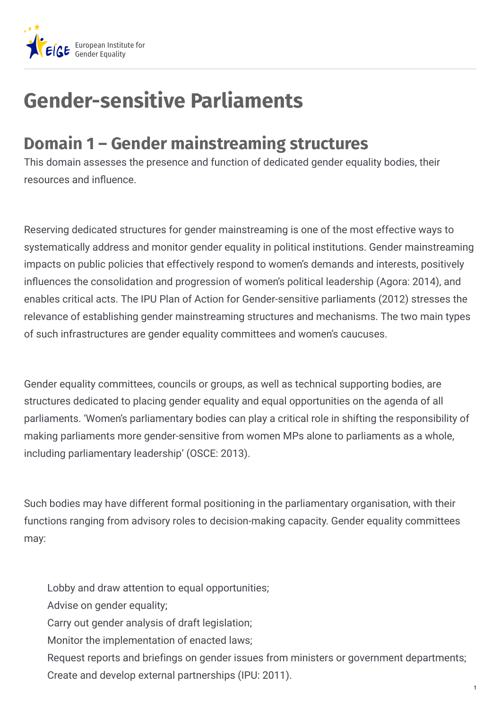

## **Gender-sensitive Parliaments**

## **Domain 1 – Gender mainstreaming structures**

This domain assesses the presence and function of dedicated gender equality bodies, their resources and influence.

Reserving dedicated structures for gender mainstreaming is one of the most effective ways to systematically address and monitor gender equality in political institutions. Gender mainstreaming impacts on public policies that effectively respond to women's demands and interests, positively influences the consolidation and progression of women's political leadership (Agora: 2014), and enables critical acts. The IPU Plan of Action for Gender-sensitive parliaments (2012) stresses the relevance of establishing gender mainstreaming structures and mechanisms. The two main types of such infrastructures are gender equality committees and women's caucuses.

Gender equality committees, councils or groups, as well as technical supporting bodies, are structures dedicated to placing gender equality and equal opportunities on the agenda of all parliaments. 'Women's parliamentary bodies can play a critical role in shifting the responsibility of making parliaments more gender-sensitive from women MPs alone to parliaments as a whole, including parliamentary leadership' (OSCE: 2013).

Such bodies may have different formal positioning in the parliamentary organisation, with their functions ranging from advisory roles to decision-making capacity. Gender equality committees may:

Lobby and draw attention to equal opportunities; Advise on gender equality; Carry out gender analysis of draft legislation; Monitor the implementation of enacted laws; Request reports and briefings on gender issues from ministers or government departments; Create and develop external partnerships (IPU: 2011).